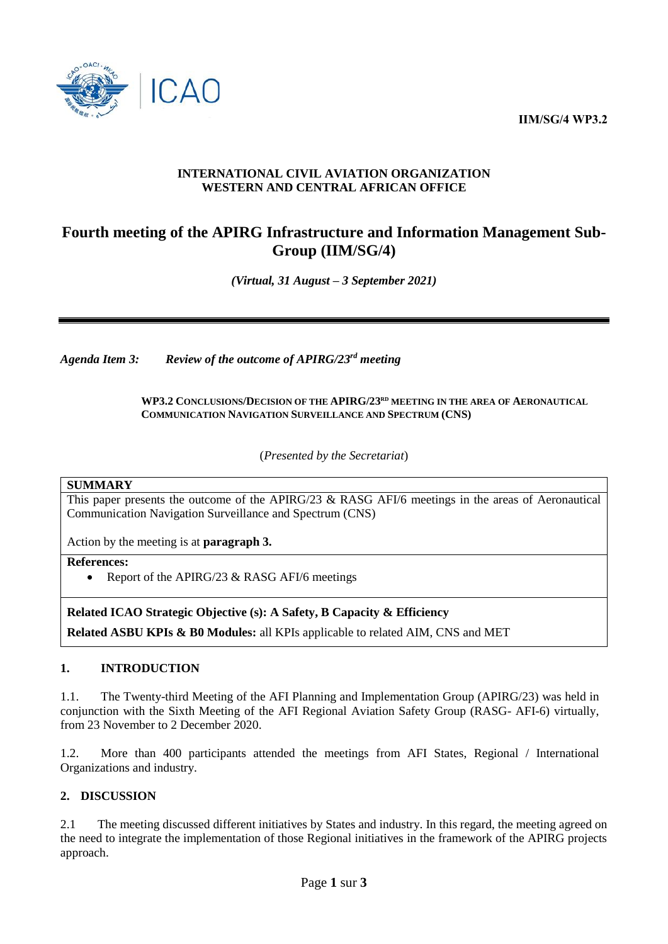**IIM/SG/4 WP3.2**



#### **INTERNATIONAL CIVIL AVIATION ORGANIZATION WESTERN AND CENTRAL AFRICAN OFFICE**

# **Fourth meeting of the APIRG Infrastructure and Information Management Sub-Group (IIM/SG/4)**

*(Virtual, 31 August – 3 September 2021)*

*Agenda Item 3: Review of the outcome of APIRG/23 rd meeting*

**WP3.2 CONCLUSIONS/DECISION OF THE APIRG/23 RD MEETING IN THE AREA OF AERONAUTICAL COMMUNICATION NAVIGATION SURVEILLANCE AND SPECTRUM (CNS)**

(*Presented by the Secretariat*)

#### **SUMMARY**

This paper presents the outcome of the APIRG/23 & RASG AFI/6 meetings in the areas of Aeronautical Communication Navigation Surveillance and Spectrum (CNS)

Action by the meeting is at **paragraph 3.**

**References:** 

• Report of the APIRG/23  $&$  RASG AFI/6 meetings

**Related ICAO Strategic Objective (s): A Safety, B Capacity & Efficiency**

**Related ASBU KPIs & B0 Modules:** all KPIs applicable to related AIM, CNS and MET

## **1. INTRODUCTION**

1.1. The Twenty-third Meeting of the AFI Planning and Implementation Group (APIRG/23) was held in conjunction with the Sixth Meeting of the AFI Regional Aviation Safety Group (RASG- AFI-6) virtually, from 23 November to 2 December 2020.

1.2. More than 400 participants attended the meetings from AFI States, Regional / International Organizations and industry.

## **2. DISCUSSION**

2.1 The meeting discussed different initiatives by States and industry. In this regard, the meeting agreed on the need to integrate the implementation of those Regional initiatives in the framework of the APIRG projects approach.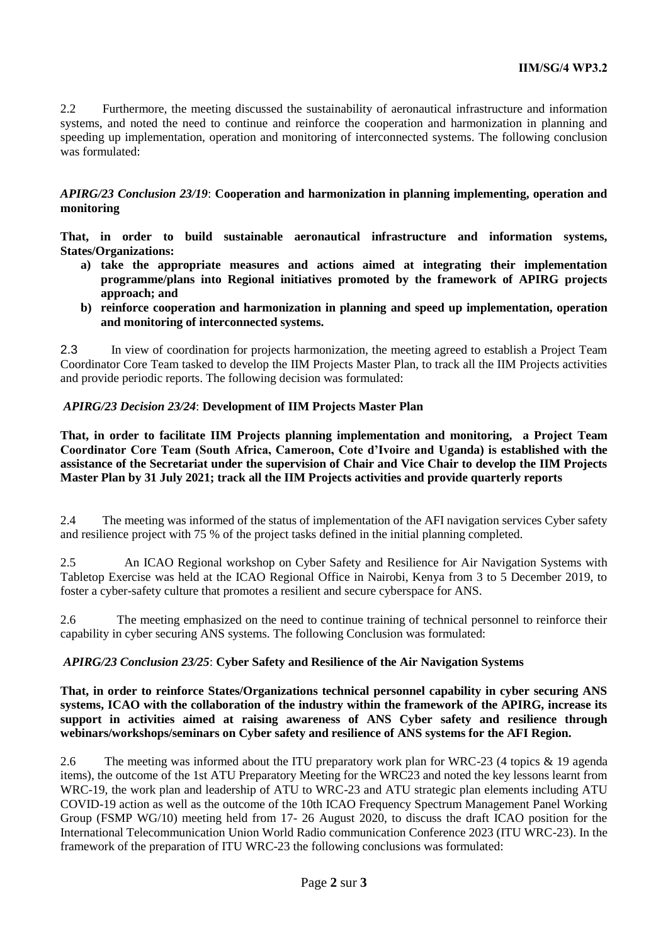2.2 Furthermore, the meeting discussed the sustainability of aeronautical infrastructure and information systems, and noted the need to continue and reinforce the cooperation and harmonization in planning and speeding up implementation, operation and monitoring of interconnected systems. The following conclusion was formulated:

*APIRG/23 Conclusion 23/19*: **Cooperation and harmonization in planning implementing, operation and monitoring** 

**That, in order to build sustainable aeronautical infrastructure and information systems, States/Organizations:** 

- **a) take the appropriate measures and actions aimed at integrating their implementation programme/plans into Regional initiatives promoted by the framework of APIRG projects approach; and**
- **b) reinforce cooperation and harmonization in planning and speed up implementation, operation and monitoring of interconnected systems.**

2.3 In view of coordination for projects harmonization, the meeting agreed to establish a Project Team Coordinator Core Team tasked to develop the IIM Projects Master Plan, to track all the IIM Projects activities and provide periodic reports. The following decision was formulated:

## *APIRG/23 Decision 23/24*: **Development of IIM Projects Master Plan**

**That, in order to facilitate IIM Projects planning implementation and monitoring, a Project Team Coordinator Core Team (South Africa, Cameroon, Cote d'Ivoire and Uganda) is established with the assistance of the Secretariat under the supervision of Chair and Vice Chair to develop the IIM Projects Master Plan by 31 July 2021; track all the IIM Projects activities and provide quarterly reports**

2.4 The meeting was informed of the status of implementation of the AFI navigation services Cyber safety and resilience project with 75 % of the project tasks defined in the initial planning completed.

2.5 An ICAO Regional workshop on Cyber Safety and Resilience for Air Navigation Systems with Tabletop Exercise was held at the ICAO Regional Office in Nairobi, Kenya from 3 to 5 December 2019, to foster a cyber-safety culture that promotes a resilient and secure cyberspace for ANS.

2.6 The meeting emphasized on the need to continue training of technical personnel to reinforce their capability in cyber securing ANS systems. The following Conclusion was formulated:

## *APIRG/23 Conclusion 23/25*: **Cyber Safety and Resilience of the Air Navigation Systems**

**That, in order to reinforce States/Organizations technical personnel capability in cyber securing ANS systems, ICAO with the collaboration of the industry within the framework of the APIRG, increase its support in activities aimed at raising awareness of ANS Cyber safety and resilience through webinars/workshops/seminars on Cyber safety and resilience of ANS systems for the AFI Region.**

2.6 The meeting was informed about the ITU preparatory work plan for WRC-23 (4 topics & 19 agenda items), the outcome of the 1st ATU Preparatory Meeting for the WRC23 and noted the key lessons learnt from WRC-19, the work plan and leadership of ATU to WRC-23 and ATU strategic plan elements including ATU COVID-19 action as well as the outcome of the 10th ICAO Frequency Spectrum Management Panel Working Group (FSMP WG/10) meeting held from 17- 26 August 2020, to discuss the draft ICAO position for the International Telecommunication Union World Radio communication Conference 2023 (ITU WRC-23). In the framework of the preparation of ITU WRC-23 the following conclusions was formulated: